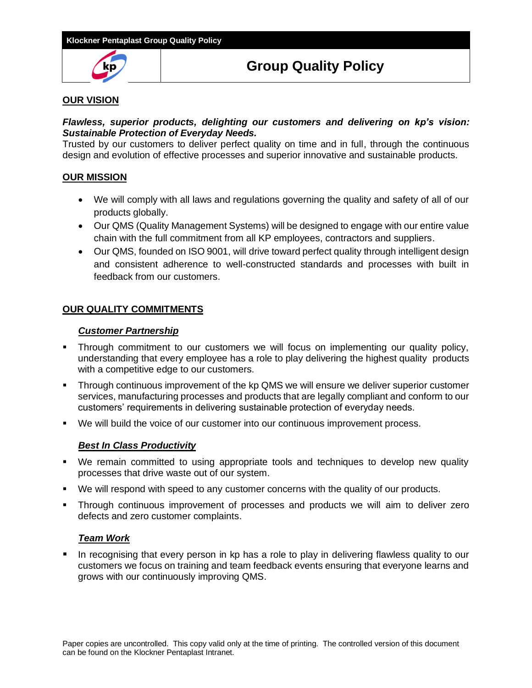

# **Group Quality Policy**

## **OUR VISION**

## *Flawless, superior products, delighting our customers and delivering on kp's vision: Sustainable Protection of Everyday Needs.*

Trusted by our customers to deliver perfect quality on time and in full, through the continuous design and evolution of effective processes and superior innovative and sustainable products.

## **OUR MISSION**

- We will comply with all laws and regulations governing the quality and safety of all of our products globally.
- Our QMS (Quality Management Systems) will be designed to engage with our entire value chain with the full commitment from all KP employees, contractors and suppliers.
- Our QMS, founded on ISO 9001, will drive toward perfect quality through intelligent design and consistent adherence to well-constructed standards and processes with built in feedback from our customers.

## **OUR QUALITY COMMITMENTS**

## *Customer Partnership*

- **•** Through commitment to our customers we will focus on implementing our quality policy, understanding that every employee has a role to play delivering the highest quality products with a competitive edge to our customers.
- **•** Through continuous improvement of the kp QMS we will ensure we deliver superior customer services, manufacturing processes and products that are legally compliant and conform to our customers' requirements in delivering sustainable protection of everyday needs.
- We will build the voice of our customer into our continuous improvement process.

#### *Best In Class Productivity*

- We remain committed to using appropriate tools and techniques to develop new quality processes that drive waste out of our system.
- We will respond with speed to any customer concerns with the quality of our products.
- Through continuous improvement of processes and products we will aim to deliver zero defects and zero customer complaints.

#### *Team Work*

In recognising that every person in kp has a role to play in delivering flawless quality to our customers we focus on training and team feedback events ensuring that everyone learns and grows with our continuously improving QMS.